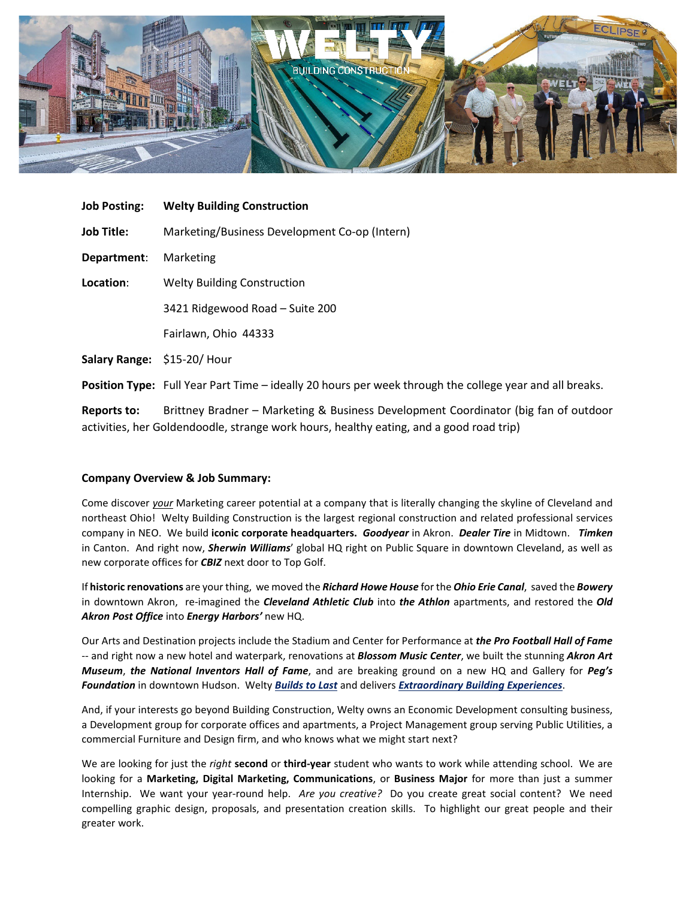

| <b>Job Posting:</b>        | <b>Welty Building Construction</b>                                                                      |
|----------------------------|---------------------------------------------------------------------------------------------------------|
| <b>Job Title:</b>          | Marketing/Business Development Co-op (Intern)                                                           |
| Department:                | Marketing                                                                                               |
| Location:                  | <b>Welty Building Construction</b>                                                                      |
|                            | 3421 Ridgewood Road - Suite 200                                                                         |
|                            | Fairlawn, Ohio 44333                                                                                    |
| Salary Range: \$15-20/Hour |                                                                                                         |
|                            | Position Type: Full Year Part Time - ideally 20 hours per week through the college year and all breaks. |
| <b>Reports to:</b>         | Brittney Bradner - Marketing & Business Development Coordinator (big fan of outdoor                     |

activities, her Goldendoodle, strange work hours, healthy eating, and a good road trip)

## **Company Overview & Job Summary:**

Come discover *your* Marketing career potential at a company that is literally changing the skyline of Cleveland and northeast Ohio! Welty Building Construction is the largest regional construction and related professional services company in NEO. We build **iconic corporate headquarters.** *Goodyear* in Akron. *Dealer Tire* in Midtown. *Timken* in Canton. And right now, *Sherwin Williams*' global HQ right on Public Square in downtown Cleveland, as well as new corporate offices for *CBIZ* next door to Top Golf.

If **historic renovations** are your thing, we moved the *Richard Howe House* for the *Ohio Erie Canal*, saved the *Bowery* in downtown Akron, re-imagined the *Cleveland Athletic Club* into *the Athlon* apartments, and restored the *Old Akron Post Office* into *Energy Harbors'* new HQ.

Our Arts and Destination projects include the Stadium and Center for Performance at *the Pro Football Hall of Fame* -- and right now a new hotel and waterpark, renovations at *Blossom Music Center*, we built the stunning *Akron Art Museum*, *the National Inventors Hall of Fame*, and are breaking ground on a new HQ and Gallery for *Peg's Foundation* in downtown Hudson. Welty *Builds to Last* and delivers *Extraordinary Building Experiences*.

And, if your interests go beyond Building Construction, Welty owns an Economic Development consulting business, a Development group for corporate offices and apartments, a Project Management group serving Public Utilities, a commercial Furniture and Design firm, and who knows what we might start next?

We are looking for just the *right* **second** or **third-year** student who wants to work while attending school. We are looking for a **Marketing, Digital Marketing, Communications**, or **Business Major** for more than just a summer Internship. We want your year-round help. *Are you creative?* Do you create great social content? We need compelling graphic design, proposals, and presentation creation skills. To highlight our great people and their greater work.